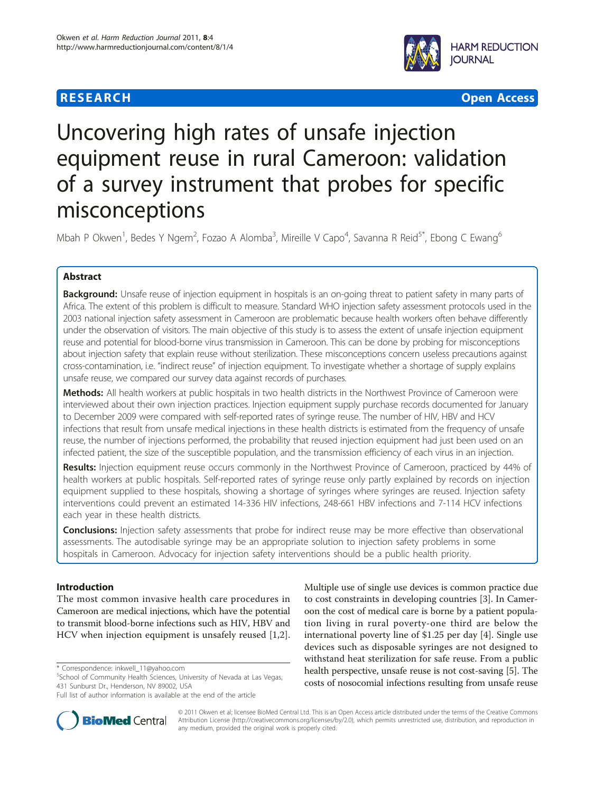## **RESEARCH CONTROL** CONTROL CONTROL CONTROL CONTROL CONTROL CONTROL CONTROL CONTROL CONTROL CONTROL CONTROL CONTROL



# Uncovering high rates of unsafe injection equipment reuse in rural Cameroon: validation of a survey instrument that probes for specific misconceptions

Mbah P Okwen<sup>1</sup>, Bedes Y Ngem<sup>2</sup>, Fozao A Alomba<sup>3</sup>, Mireille V Capo<sup>4</sup>, Savanna R Reid<sup>5\*</sup>, Ebong C Ewang<sup>6</sup>

## Abstract

Background: Unsafe reuse of injection equipment in hospitals is an on-going threat to patient safety in many parts of Africa. The extent of this problem is difficult to measure. Standard WHO injection safety assessment protocols used in the 2003 national injection safety assessment in Cameroon are problematic because health workers often behave differently under the observation of visitors. The main objective of this study is to assess the extent of unsafe injection equipment reuse and potential for blood-borne virus transmission in Cameroon. This can be done by probing for misconceptions about injection safety that explain reuse without sterilization. These misconceptions concern useless precautions against cross-contamination, i.e. "indirect reuse" of injection equipment. To investigate whether a shortage of supply explains unsafe reuse, we compared our survey data against records of purchases.

Methods: All health workers at public hospitals in two health districts in the Northwest Province of Cameroon were interviewed about their own injection practices. Injection equipment supply purchase records documented for January to December 2009 were compared with self-reported rates of syringe reuse. The number of HIV, HBV and HCV infections that result from unsafe medical injections in these health districts is estimated from the frequency of unsafe reuse, the number of injections performed, the probability that reused injection equipment had just been used on an infected patient, the size of the susceptible population, and the transmission efficiency of each virus in an injection.

Results: Injection equipment reuse occurs commonly in the Northwest Province of Cameroon, practiced by 44% of health workers at public hospitals. Self-reported rates of syringe reuse only partly explained by records on injection equipment supplied to these hospitals, showing a shortage of syringes where syringes are reused. Injection safety interventions could prevent an estimated 14-336 HIV infections, 248-661 HBV infections and 7-114 HCV infections each year in these health districts.

**Conclusions:** Injection safety assessments that probe for indirect reuse may be more effective than observational assessments. The autodisable syringe may be an appropriate solution to injection safety problems in some hospitals in Cameroon. Advocacy for injection safety interventions should be a public health priority.

## Introduction

The most common invasive health care procedures in Cameroon are medical injections, which have the potential to transmit blood-borne infections such as HIV, HBV and HCV when injection equipment is unsafely reused [[1,2](#page-7-0)].

\* Correspondence: [inkwell\\_11@yahoo.com](mailto:inkwell_11@yahoo.com)

Full list of author information is available at the end of the article





© 2011 Okwen et al; licensee BioMed Central Ltd. This is an Open Access article distributed under the terms of the Creative Commons Attribution License [\(http://creativecommons.org/licenses/by/2.0](http://creativecommons.org/licenses/by/2.0)), which permits unrestricted use, distribution, and reproduction in any medium, provided the original work is properly cited.

<sup>&</sup>lt;sup>5</sup>School of Community Health Sciences, University of Nevada at Las Vegas, 431 Sunburst Dr., Henderson, NV 89002, USA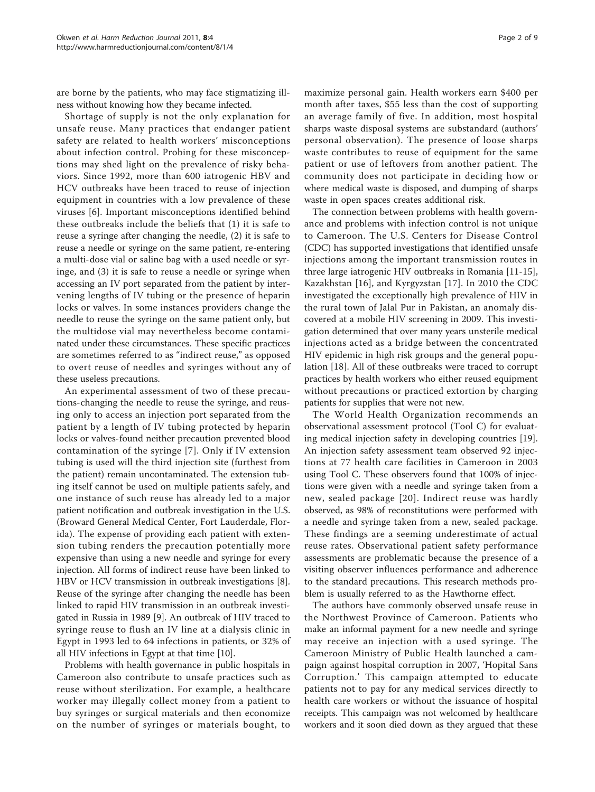are borne by the patients, who may face stigmatizing illness without knowing how they became infected.

Shortage of supply is not the only explanation for unsafe reuse. Many practices that endanger patient safety are related to health workers' misconceptions about infection control. Probing for these misconceptions may shed light on the prevalence of risky behaviors. Since 1992, more than 600 iatrogenic HBV and HCV outbreaks have been traced to reuse of injection equipment in countries with a low prevalence of these viruses [[6\]](#page-7-0). Important misconceptions identified behind these outbreaks include the beliefs that (1) it is safe to reuse a syringe after changing the needle, (2) it is safe to reuse a needle or syringe on the same patient, re-entering a multi-dose vial or saline bag with a used needle or syringe, and (3) it is safe to reuse a needle or syringe when accessing an IV port separated from the patient by intervening lengths of IV tubing or the presence of heparin locks or valves. In some instances providers change the needle to reuse the syringe on the same patient only, but the multidose vial may nevertheless become contaminated under these circumstances. These specific practices are sometimes referred to as "indirect reuse," as opposed to overt reuse of needles and syringes without any of these useless precautions.

An experimental assessment of two of these precautions-changing the needle to reuse the syringe, and reusing only to access an injection port separated from the patient by a length of IV tubing protected by heparin locks or valves-found neither precaution prevented blood contamination of the syringe [\[7\]](#page-7-0). Only if IV extension tubing is used will the third injection site (furthest from the patient) remain uncontaminated. The extension tubing itself cannot be used on multiple patients safely, and one instance of such reuse has already led to a major patient notification and outbreak investigation in the U.S. (Broward General Medical Center, Fort Lauderdale, Florida). The expense of providing each patient with extension tubing renders the precaution potentially more expensive than using a new needle and syringe for every injection. All forms of indirect reuse have been linked to HBV or HCV transmission in outbreak investigations [\[8](#page-7-0)]. Reuse of the syringe after changing the needle has been linked to rapid HIV transmission in an outbreak investigated in Russia in 1989 [[9\]](#page-7-0). An outbreak of HIV traced to syringe reuse to flush an IV line at a dialysis clinic in Egypt in 1993 led to 64 infections in patients, or 32% of all HIV infections in Egypt at that time [[10](#page-7-0)].

Problems with health governance in public hospitals in Cameroon also contribute to unsafe practices such as reuse without sterilization. For example, a healthcare worker may illegally collect money from a patient to buy syringes or surgical materials and then economize on the number of syringes or materials bought, to maximize personal gain. Health workers earn \$400 per month after taxes, \$55 less than the cost of supporting an average family of five. In addition, most hospital sharps waste disposal systems are substandard (authors' personal observation). The presence of loose sharps waste contributes to reuse of equipment for the same patient or use of leftovers from another patient. The community does not participate in deciding how or where medical waste is disposed, and dumping of sharps waste in open spaces creates additional risk.

The connection between problems with health governance and problems with infection control is not unique to Cameroon. The U.S. Centers for Disease Control (CDC) has supported investigations that identified unsafe injections among the important transmission routes in three large iatrogenic HIV outbreaks in Romania [\[11-15](#page-7-0)], Kazakhstan [[16\]](#page-7-0), and Kyrgyzstan [[17](#page-7-0)]. In 2010 the CDC investigated the exceptionally high prevalence of HIV in the rural town of Jalal Pur in Pakistan, an anomaly discovered at a mobile HIV screening in 2009. This investigation determined that over many years unsterile medical injections acted as a bridge between the concentrated HIV epidemic in high risk groups and the general population [\[18](#page-7-0)]. All of these outbreaks were traced to corrupt practices by health workers who either reused equipment without precautions or practiced extortion by charging patients for supplies that were not new.

The World Health Organization recommends an observational assessment protocol (Tool C) for evaluating medical injection safety in developing countries [\[19](#page-7-0)]. An injection safety assessment team observed 92 injections at 77 health care facilities in Cameroon in 2003 using Tool C. These observers found that 100% of injections were given with a needle and syringe taken from a new, sealed package [[20\]](#page-7-0). Indirect reuse was hardly observed, as 98% of reconstitutions were performed with a needle and syringe taken from a new, sealed package. These findings are a seeming underestimate of actual reuse rates. Observational patient safety performance assessments are problematic because the presence of a visiting observer influences performance and adherence to the standard precautions. This research methods problem is usually referred to as the Hawthorne effect.

The authors have commonly observed unsafe reuse in the Northwest Province of Cameroon. Patients who make an informal payment for a new needle and syringe may receive an injection with a used syringe. The Cameroon Ministry of Public Health launched a campaign against hospital corruption in 2007, 'Hopital Sans Corruption.' This campaign attempted to educate patients not to pay for any medical services directly to health care workers or without the issuance of hospital receipts. This campaign was not welcomed by healthcare workers and it soon died down as they argued that these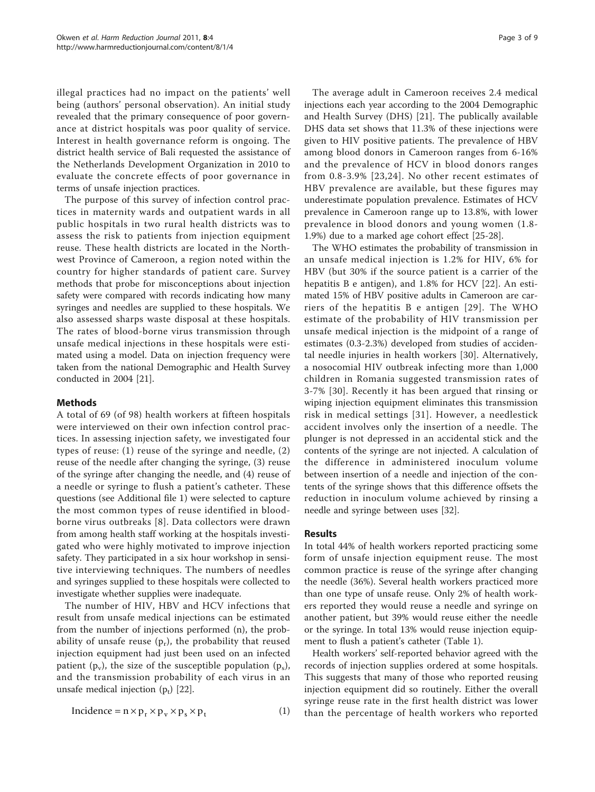illegal practices had no impact on the patients' well being (authors' personal observation). An initial study revealed that the primary consequence of poor governance at district hospitals was poor quality of service. Interest in health governance reform is ongoing. The district health service of Bali requested the assistance of the Netherlands Development Organization in 2010 to evaluate the concrete effects of poor governance in terms of unsafe injection practices.

The purpose of this survey of infection control practices in maternity wards and outpatient wards in all public hospitals in two rural health districts was to assess the risk to patients from injection equipment reuse. These health districts are located in the Northwest Province of Cameroon, a region noted within the country for higher standards of patient care. Survey methods that probe for misconceptions about injection safety were compared with records indicating how many syringes and needles are supplied to these hospitals. We also assessed sharps waste disposal at these hospitals. The rates of blood-borne virus transmission through unsafe medical injections in these hospitals were estimated using a model. Data on injection frequency were taken from the national Demographic and Health Survey conducted in 2004 [\[21](#page-7-0)].

## Methods

A total of 69 (of 98) health workers at fifteen hospitals were interviewed on their own infection control practices. In assessing injection safety, we investigated four types of reuse: (1) reuse of the syringe and needle, (2) reuse of the needle after changing the syringe, (3) reuse of the syringe after changing the needle, and (4) reuse of a needle or syringe to flush a patient's catheter. These questions (see Additional file [1](#page-6-0)) were selected to capture the most common types of reuse identified in bloodborne virus outbreaks [[8](#page-7-0)]. Data collectors were drawn from among health staff working at the hospitals investigated who were highly motivated to improve injection safety. They participated in a six hour workshop in sensitive interviewing techniques. The numbers of needles and syringes supplied to these hospitals were collected to investigate whether supplies were inadequate.

The number of HIV, HBV and HCV infections that result from unsafe medical injections can be estimated from the number of injections performed (n), the probability of unsafe reuse  $(p_r)$ , the probability that reused injection equipment had just been used on an infected patient  $(p_v)$ , the size of the susceptible population  $(p_s)$ , and the transmission probability of each virus in an unsafe medical injection  $(p_t)$  [[22](#page-7-0)].

$$
Incidence = n \times p_r \times p_v \times p_s \times p_t \tag{1}
$$

The average adult in Cameroon receives 2.4 medical injections each year according to the 2004 Demographic and Health Survey (DHS) [[21](#page-7-0)]. The publically available DHS data set shows that 11.3% of these injections were given to HIV positive patients. The prevalence of HBV among blood donors in Cameroon ranges from 6-16% and the prevalence of HCV in blood donors ranges from 0.8-3.9% [[23,24\]](#page-7-0). No other recent estimates of HBV prevalence are available, but these figures may underestimate population prevalence. Estimates of HCV prevalence in Cameroon range up to 13.8%, with lower prevalence in blood donors and young women (1.8- 1.9%) due to a marked age cohort effect [[25-28\]](#page-7-0).

The WHO estimates the probability of transmission in an unsafe medical injection is 1.2% for HIV, 6% for HBV (but 30% if the source patient is a carrier of the hepatitis B e antigen), and 1.8% for HCV [[22\]](#page-7-0). An estimated 15% of HBV positive adults in Cameroon are carriers of the hepatitis B e antigen [[29](#page-7-0)]. The WHO estimate of the probability of HIV transmission per unsafe medical injection is the midpoint of a range of estimates (0.3-2.3%) developed from studies of accidental needle injuries in health workers [[30\]](#page-7-0). Alternatively, a nosocomial HIV outbreak infecting more than 1,000 children in Romania suggested transmission rates of 3-7% [[30\]](#page-7-0). Recently it has been argued that rinsing or wiping injection equipment eliminates this transmission risk in medical settings [[31\]](#page-7-0). However, a needlestick accident involves only the insertion of a needle. The plunger is not depressed in an accidental stick and the contents of the syringe are not injected. A calculation of the difference in administered inoculum volume between insertion of a needle and injection of the contents of the syringe shows that this difference offsets the reduction in inoculum volume achieved by rinsing a needle and syringe between uses [[32\]](#page-7-0).

## Results

In total 44% of health workers reported practicing some form of unsafe injection equipment reuse. The most common practice is reuse of the syringe after changing the needle (36%). Several health workers practiced more than one type of unsafe reuse. Only 2% of health workers reported they would reuse a needle and syringe on another patient, but 39% would reuse either the needle or the syringe. In total 13% would reuse injection equipment to flush a patient's catheter (Table [1](#page-3-0)).

Health workers' self-reported behavior agreed with the records of injection supplies ordered at some hospitals. This suggests that many of those who reported reusing injection equipment did so routinely. Either the overall syringe reuse rate in the first health district was lower than the percentage of health workers who reported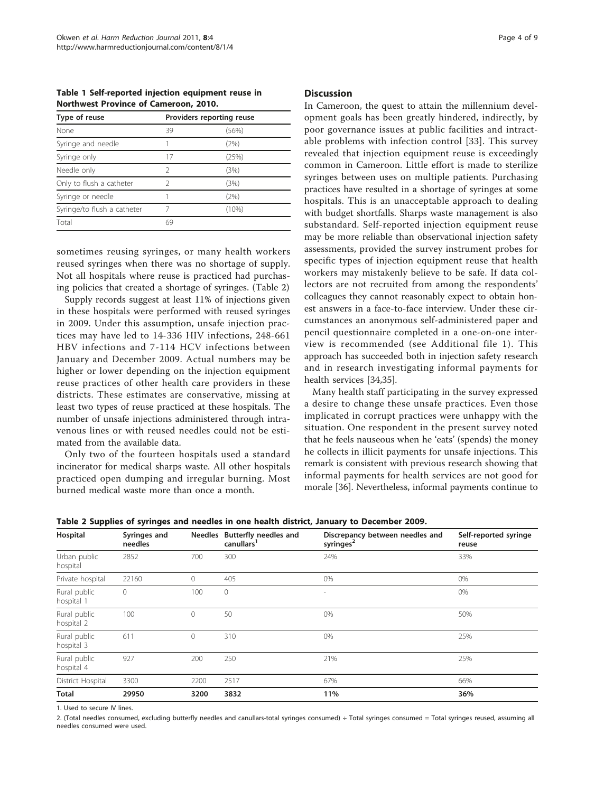<span id="page-3-0"></span>Table 1 Self-reported injection equipment reuse in Northwest Province of Cameroon, 2010.

| Type of reuse               | Providers reporting reuse |       |  |
|-----------------------------|---------------------------|-------|--|
| None                        | 39                        | (56%) |  |
| Syringe and needle          |                           | (2%)  |  |
| Syringe only                | 17                        | (25%) |  |
| Needle only                 | 2                         | (3%)  |  |
| Only to flush a catheter    |                           | (3%)  |  |
| Syringe or needle           |                           | (2%)  |  |
| Syringe/to flush a catheter |                           | (10%) |  |
| Total                       | 69                        |       |  |

sometimes reusing syringes, or many health workers reused syringes when there was no shortage of supply. Not all hospitals where reuse is practiced had purchasing policies that created a shortage of syringes. (Table 2)

Supply records suggest at least 11% of injections given in these hospitals were performed with reused syringes in 2009. Under this assumption, unsafe injection practices may have led to 14-336 HIV infections, 248-661 HBV infections and 7-114 HCV infections between January and December 2009. Actual numbers may be higher or lower depending on the injection equipment reuse practices of other health care providers in these districts. These estimates are conservative, missing at least two types of reuse practiced at these hospitals. The number of unsafe injections administered through intravenous lines or with reused needles could not be estimated from the available data.

Only two of the fourteen hospitals used a standard incinerator for medical sharps waste. All other hospitals practiced open dumping and irregular burning. Most burned medical waste more than once a month.

#### **Discussion**

In Cameroon, the quest to attain the millennium development goals has been greatly hindered, indirectly, by poor governance issues at public facilities and intractable problems with infection control [[33\]](#page-7-0). This survey revealed that injection equipment reuse is exceedingly common in Cameroon. Little effort is made to sterilize syringes between uses on multiple patients. Purchasing practices have resulted in a shortage of syringes at some hospitals. This is an unacceptable approach to dealing with budget shortfalls. Sharps waste management is also substandard. Self-reported injection equipment reuse may be more reliable than observational injection safety assessments, provided the survey instrument probes for specific types of injection equipment reuse that health workers may mistakenly believe to be safe. If data collectors are not recruited from among the respondents' colleagues they cannot reasonably expect to obtain honest answers in a face-to-face interview. Under these circumstances an anonymous self-administered paper and pencil questionnaire completed in a one-on-one interview is recommended (see Additional file [1](#page-6-0)). This approach has succeeded both in injection safety research and in research investigating informal payments for health services [[34](#page-8-0),[35](#page-8-0)].

Many health staff participating in the survey expressed a desire to change these unsafe practices. Even those implicated in corrupt practices were unhappy with the situation. One respondent in the present survey noted that he feels nauseous when he 'eats' (spends) the money he collects in illicit payments for unsafe injections. This remark is consistent with previous research showing that informal payments for health services are not good for morale [[36\]](#page-8-0). Nevertheless, informal payments continue to

|  |  | Table 2 Supplies of syringes and needles in one health district, January to December 2009. |  |
|--|--|--------------------------------------------------------------------------------------------|--|
|--|--|--------------------------------------------------------------------------------------------|--|

| Hospital                   | Syringes and<br>needles |          | Needles Butterfly needles and<br>canullars <sup>1</sup> | Discrepancy between needles and<br>syringes <sup>2</sup> | Self-reported syringe<br>reuse |
|----------------------------|-------------------------|----------|---------------------------------------------------------|----------------------------------------------------------|--------------------------------|
| Urban public<br>hospital   | 2852                    | 700      | 300                                                     | 24%                                                      | 33%                            |
| Private hospital           | 22160                   | $\circ$  | 405                                                     | $0\%$                                                    | 0%                             |
| Rural public<br>hospital 1 | $\circ$                 | 100      | $\circ$                                                 | $\overline{a}$                                           | 0%                             |
| Rural public<br>hospital 2 | 100                     | $\circ$  | 50                                                      | $0\%$                                                    | 50%                            |
| Rural public<br>hospital 3 | 611                     | $\Omega$ | 310                                                     | $0\%$                                                    | 25%                            |
| Rural public<br>hospital 4 | 927                     | 200      | 250                                                     | 21%                                                      | 25%                            |
| District Hospital          | 3300                    | 2200     | 2517                                                    | 67%                                                      | 66%                            |
| <b>Total</b>               | 29950                   | 3200     | 3832                                                    | 11%                                                      | 36%                            |

1. Used to secure IV lines.

2. (Total needles consumed, excluding butterfly needles and canullars-total syringes consumed) ÷ Total syringes consumed = Total syringes reused, assuming all needles consumed were used.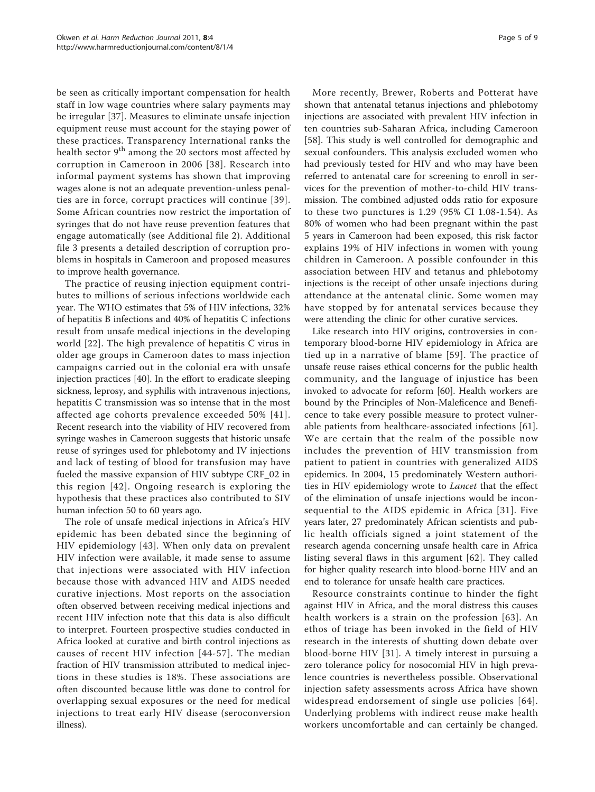be seen as critically important compensation for health staff in low wage countries where salary payments may be irregular [\[37](#page-8-0)]. Measures to eliminate unsafe injection equipment reuse must account for the staying power of these practices. Transparency International ranks the health sector 9<sup>th</sup> among the 20 sectors most affected by corruption in Cameroon in 2006 [[38](#page-8-0)]. Research into informal payment systems has shown that improving wages alone is not an adequate prevention-unless penalties are in force, corrupt practices will continue [[39\]](#page-8-0). Some African countries now restrict the importation of syringes that do not have reuse prevention features that engage automatically (see Additional file [2](#page-6-0)). Additional file [3](#page-6-0) presents a detailed description of corruption problems in hospitals in Cameroon and proposed measures to improve health governance.

The practice of reusing injection equipment contributes to millions of serious infections worldwide each year. The WHO estimates that 5% of HIV infections, 32% of hepatitis B infections and 40% of hepatitis C infections result from unsafe medical injections in the developing world [[22\]](#page-7-0). The high prevalence of hepatitis C virus in older age groups in Cameroon dates to mass injection campaigns carried out in the colonial era with unsafe injection practices [[40\]](#page-8-0). In the effort to eradicate sleeping sickness, leprosy, and syphilis with intravenous injections, hepatitis C transmission was so intense that in the most affected age cohorts prevalence exceeded 50% [[41\]](#page-8-0). Recent research into the viability of HIV recovered from syringe washes in Cameroon suggests that historic unsafe reuse of syringes used for phlebotomy and IV injections and lack of testing of blood for transfusion may have fueled the massive expansion of HIV subtype CRF\_02 in this region [[42](#page-8-0)]. Ongoing research is exploring the hypothesis that these practices also contributed to SIV human infection 50 to 60 years ago.

The role of unsafe medical injections in Africa's HIV epidemic has been debated since the beginning of HIV epidemiology [[43](#page-8-0)]. When only data on prevalent HIV infection were available, it made sense to assume that injections were associated with HIV infection because those with advanced HIV and AIDS needed curative injections. Most reports on the association often observed between receiving medical injections and recent HIV infection note that this data is also difficult to interpret. Fourteen prospective studies conducted in Africa looked at curative and birth control injections as causes of recent HIV infection [[44-57](#page-8-0)]. The median fraction of HIV transmission attributed to medical injections in these studies is 18%. These associations are often discounted because little was done to control for overlapping sexual exposures or the need for medical injections to treat early HIV disease (seroconversion illness).

More recently, Brewer, Roberts and Potterat have shown that antenatal tetanus injections and phlebotomy injections are associated with prevalent HIV infection in ten countries sub-Saharan Africa, including Cameroon [[58](#page-8-0)]. This study is well controlled for demographic and sexual confounders. This analysis excluded women who had previously tested for HIV and who may have been referred to antenatal care for screening to enroll in services for the prevention of mother-to-child HIV transmission. The combined adjusted odds ratio for exposure to these two punctures is 1.29 (95% CI 1.08-1.54). As 80% of women who had been pregnant within the past 5 years in Cameroon had been exposed, this risk factor explains 19% of HIV infections in women with young children in Cameroon. A possible confounder in this association between HIV and tetanus and phlebotomy injections is the receipt of other unsafe injections during attendance at the antenatal clinic. Some women may have stopped by for antenatal services because they were attending the clinic for other curative services.

Like research into HIV origins, controversies in contemporary blood-borne HIV epidemiology in Africa are tied up in a narrative of blame [[59\]](#page-8-0). The practice of unsafe reuse raises ethical concerns for the public health community, and the language of injustice has been invoked to advocate for reform [[60\]](#page-8-0). Health workers are bound by the Principles of Non-Maleficence and Beneficence to take every possible measure to protect vulnerable patients from healthcare-associated infections [\[61](#page-8-0)]. We are certain that the realm of the possible now includes the prevention of HIV transmission from patient to patient in countries with generalized AIDS epidemics. In 2004, 15 predominately Western authorities in HIV epidemiology wrote to *Lancet* that the effect of the elimination of unsafe injections would be inconsequential to the AIDS epidemic in Africa [[31](#page-7-0)]. Five years later, 27 predominately African scientists and public health officials signed a joint statement of the research agenda concerning unsafe health care in Africa listing several flaws in this argument [[62](#page-8-0)]. They called for higher quality research into blood-borne HIV and an end to tolerance for unsafe health care practices.

Resource constraints continue to hinder the fight against HIV in Africa, and the moral distress this causes health workers is a strain on the profession [[63](#page-8-0)]. An ethos of triage has been invoked in the field of HIV research in the interests of shutting down debate over blood-borne HIV [[31\]](#page-7-0). A timely interest in pursuing a zero tolerance policy for nosocomial HIV in high prevalence countries is nevertheless possible. Observational injection safety assessments across Africa have shown widespread endorsement of single use policies [[64\]](#page-8-0). Underlying problems with indirect reuse make health workers uncomfortable and can certainly be changed.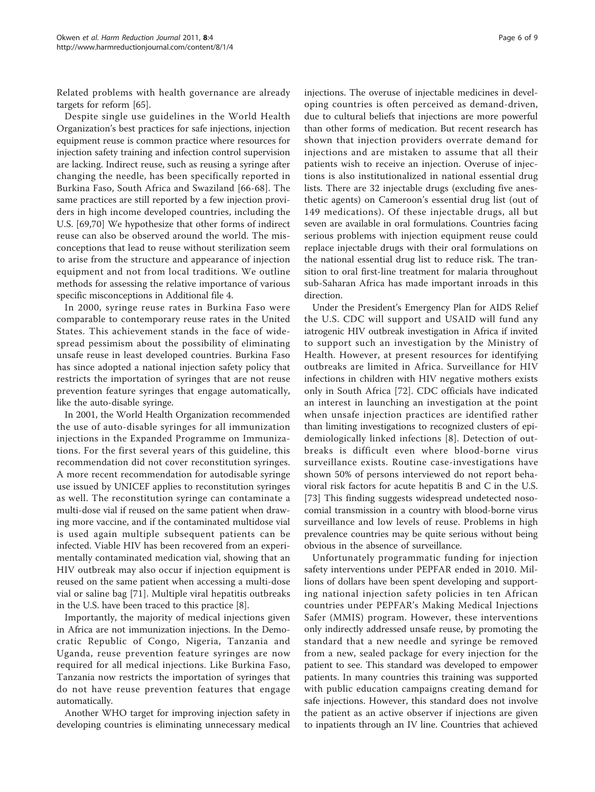Related problems with health governance are already targets for reform [\[65\]](#page-8-0).

Despite single use guidelines in the World Health Organization's best practices for safe injections, injection equipment reuse is common practice where resources for injection safety training and infection control supervision are lacking. Indirect reuse, such as reusing a syringe after changing the needle, has been specifically reported in Burkina Faso, South Africa and Swaziland [\[66](#page-8-0)-[68](#page-8-0)]. The same practices are still reported by a few injection providers in high income developed countries, including the U.S. [[69,70\]](#page-8-0) We hypothesize that other forms of indirect reuse can also be observed around the world. The misconceptions that lead to reuse without sterilization seem to arise from the structure and appearance of injection equipment and not from local traditions. We outline methods for assessing the relative importance of various specific misconceptions in Additional file [4.](#page-6-0)

In 2000, syringe reuse rates in Burkina Faso were comparable to contemporary reuse rates in the United States. This achievement stands in the face of widespread pessimism about the possibility of eliminating unsafe reuse in least developed countries. Burkina Faso has since adopted a national injection safety policy that restricts the importation of syringes that are not reuse prevention feature syringes that engage automatically, like the auto-disable syringe.

In 2001, the World Health Organization recommended the use of auto-disable syringes for all immunization injections in the Expanded Programme on Immunizations. For the first several years of this guideline, this recommendation did not cover reconstitution syringes. A more recent recommendation for autodisable syringe use issued by UNICEF applies to reconstitution syringes as well. The reconstitution syringe can contaminate a multi-dose vial if reused on the same patient when drawing more vaccine, and if the contaminated multidose vial is used again multiple subsequent patients can be infected. Viable HIV has been recovered from an experimentally contaminated medication vial, showing that an HIV outbreak may also occur if injection equipment is reused on the same patient when accessing a multi-dose vial or saline bag [\[71](#page-8-0)]. Multiple viral hepatitis outbreaks in the U.S. have been traced to this practice [\[8](#page-7-0)].

Importantly, the majority of medical injections given in Africa are not immunization injections. In the Democratic Republic of Congo, Nigeria, Tanzania and Uganda, reuse prevention feature syringes are now required for all medical injections. Like Burkina Faso, Tanzania now restricts the importation of syringes that do not have reuse prevention features that engage automatically.

Another WHO target for improving injection safety in developing countries is eliminating unnecessary medical injections. The overuse of injectable medicines in developing countries is often perceived as demand-driven, due to cultural beliefs that injections are more powerful than other forms of medication. But recent research has shown that injection providers overrate demand for injections and are mistaken to assume that all their patients wish to receive an injection. Overuse of injections is also institutionalized in national essential drug lists. There are 32 injectable drugs (excluding five anesthetic agents) on Cameroon's essential drug list (out of 149 medications). Of these injectable drugs, all but seven are available in oral formulations. Countries facing serious problems with injection equipment reuse could replace injectable drugs with their oral formulations on the national essential drug list to reduce risk. The transition to oral first-line treatment for malaria throughout sub-Saharan Africa has made important inroads in this direction.

Under the President's Emergency Plan for AIDS Relief the U.S. CDC will support and USAID will fund any iatrogenic HIV outbreak investigation in Africa if invited to support such an investigation by the Ministry of Health. However, at present resources for identifying outbreaks are limited in Africa. Surveillance for HIV infections in children with HIV negative mothers exists only in South Africa [\[72](#page-8-0)]. CDC officials have indicated an interest in launching an investigation at the point when unsafe injection practices are identified rather than limiting investigations to recognized clusters of epidemiologically linked infections [[8](#page-7-0)]. Detection of outbreaks is difficult even where blood-borne virus surveillance exists. Routine case-investigations have shown 50% of persons interviewed do not report behavioral risk factors for acute hepatitis B and C in the U.S. [[73\]](#page-8-0) This finding suggests widespread undetected nosocomial transmission in a country with blood-borne virus surveillance and low levels of reuse. Problems in high prevalence countries may be quite serious without being obvious in the absence of surveillance.

Unfortunately programmatic funding for injection safety interventions under PEPFAR ended in 2010. Millions of dollars have been spent developing and supporting national injection safety policies in ten African countries under PEPFAR's Making Medical Injections Safer (MMIS) program. However, these interventions only indirectly addressed unsafe reuse, by promoting the standard that a new needle and syringe be removed from a new, sealed package for every injection for the patient to see. This standard was developed to empower patients. In many countries this training was supported with public education campaigns creating demand for safe injections. However, this standard does not involve the patient as an active observer if injections are given to inpatients through an IV line. Countries that achieved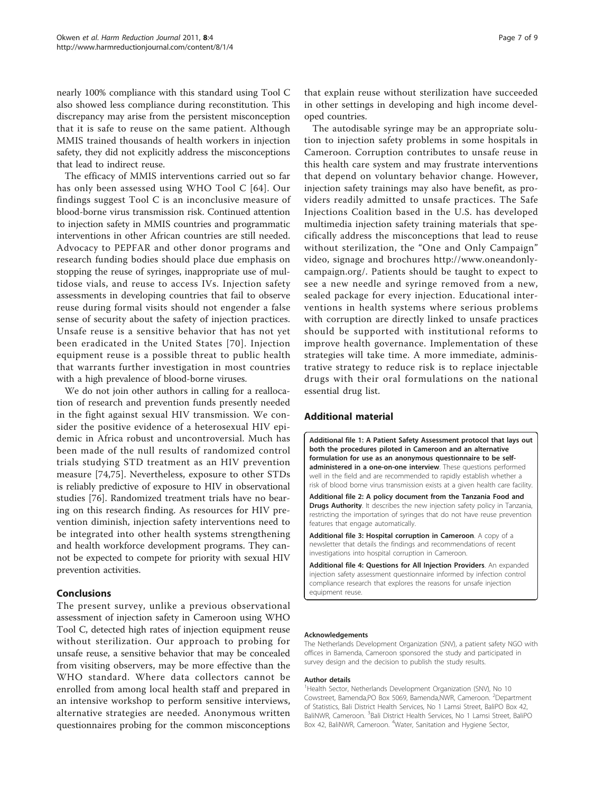<span id="page-6-0"></span>nearly 100% compliance with this standard using Tool C also showed less compliance during reconstitution. This discrepancy may arise from the persistent misconception that it is safe to reuse on the same patient. Although MMIS trained thousands of health workers in injection safety, they did not explicitly address the misconceptions that lead to indirect reuse.

The efficacy of MMIS interventions carried out so far has only been assessed using WHO Tool C [[64\]](#page-8-0). Our findings suggest Tool C is an inconclusive measure of blood-borne virus transmission risk. Continued attention to injection safety in MMIS countries and programmatic interventions in other African countries are still needed. Advocacy to PEPFAR and other donor programs and research funding bodies should place due emphasis on stopping the reuse of syringes, inappropriate use of multidose vials, and reuse to access IVs. Injection safety assessments in developing countries that fail to observe reuse during formal visits should not engender a false sense of security about the safety of injection practices. Unsafe reuse is a sensitive behavior that has not yet been eradicated in the United States [[70\]](#page-8-0). Injection equipment reuse is a possible threat to public health that warrants further investigation in most countries with a high prevalence of blood-borne viruses.

We do not join other authors in calling for a reallocation of research and prevention funds presently needed in the fight against sexual HIV transmission. We consider the positive evidence of a heterosexual HIV epidemic in Africa robust and uncontroversial. Much has been made of the null results of randomized control trials studying STD treatment as an HIV prevention measure [\[74,75\]](#page-8-0). Nevertheless, exposure to other STDs is reliably predictive of exposure to HIV in observational studies [[76\]](#page-8-0). Randomized treatment trials have no bearing on this research finding. As resources for HIV prevention diminish, injection safety interventions need to be integrated into other health systems strengthening and health workforce development programs. They cannot be expected to compete for priority with sexual HIV prevention activities.

## Conclusions

The present survey, unlike a previous observational assessment of injection safety in Cameroon using WHO Tool C, detected high rates of injection equipment reuse without sterilization. Our approach to probing for unsafe reuse, a sensitive behavior that may be concealed from visiting observers, may be more effective than the WHO standard. Where data collectors cannot be enrolled from among local health staff and prepared in an intensive workshop to perform sensitive interviews, alternative strategies are needed. Anonymous written questionnaires probing for the common misconceptions

that explain reuse without sterilization have succeeded in other settings in developing and high income developed countries.

The autodisable syringe may be an appropriate solution to injection safety problems in some hospitals in Cameroon. Corruption contributes to unsafe reuse in this health care system and may frustrate interventions that depend on voluntary behavior change. However, injection safety trainings may also have benefit, as providers readily admitted to unsafe practices. The Safe Injections Coalition based in the U.S. has developed multimedia injection safety training materials that specifically address the misconceptions that lead to reuse without sterilization, the "One and Only Campaign" video, signage and brochures [http://www.oneandonly](http://www.oneandonlycampaign.org/)[campaign.org/](http://www.oneandonlycampaign.org/). Patients should be taught to expect to see a new needle and syringe removed from a new, sealed package for every injection. Educational interventions in health systems where serious problems with corruption are directly linked to unsafe practices should be supported with institutional reforms to improve health governance. Implementation of these strategies will take time. A more immediate, administrative strategy to reduce risk is to replace injectable drugs with their oral formulations on the national essential drug list.

## Additional material

[Additional file 1: A](http://www.biomedcentral.com/content/supplementary/1477-7517-8-4-S1.DOC) Patient Safety Assessment protocol that lays out both the procedures piloted in Cameroon and an alternative formulation for use as an anonymous questionnaire to be selfadministered in a one-on-one interview. These questions performed well in the field and are recommended to rapidly establish whether a risk of blood borne virus transmission exists at a given health care facility.

[Additional file 2: A](http://www.biomedcentral.com/content/supplementary/1477-7517-8-4-S2.DOC) policy document from the Tanzania Food and Drugs Authority. It describes the new injection safety policy in Tanzania, restricting the importation of syringes that do not have reuse prevention features that engage automatically.

[Additional file 3: H](http://www.biomedcentral.com/content/supplementary/1477-7517-8-4-S3.PDF)ospital corruption in Cameroon. A copy of a newsletter that details the findings and recommendations of recent investigations into hospital corruption in Cameroon.

[Additional file 4: Q](http://www.biomedcentral.com/content/supplementary/1477-7517-8-4-S4.DOC)uestions for All Injection Providers. An expanded injection safety assessment questionnaire informed by infection control compliance research that explores the reasons for unsafe injection equipment reuse.

#### Acknowledgements

The Netherlands Development Organization (SNV), a patient safety NGO with offices in Bamenda, Cameroon sponsored the study and participated in survey design and the decision to publish the study results.

#### Author details

<sup>1</sup>Health Sector, Netherlands Development Organization (SNV), No 10 Cowstreet, Bamenda, PO Box 5069, Bamenda, NWR, Cameroon. <sup>2</sup>Department of Statistics, Bali District Health Services, No 1 Lamsi Street, BaliPO Box 42, BaliNWR, Cameroon. <sup>3</sup>Bali District Health Services, No 1 Lamsi Street, BaliPC Box 42, BaliNWR, Cameroon. <sup>4</sup>Water, Sanitation and Hygiene Sector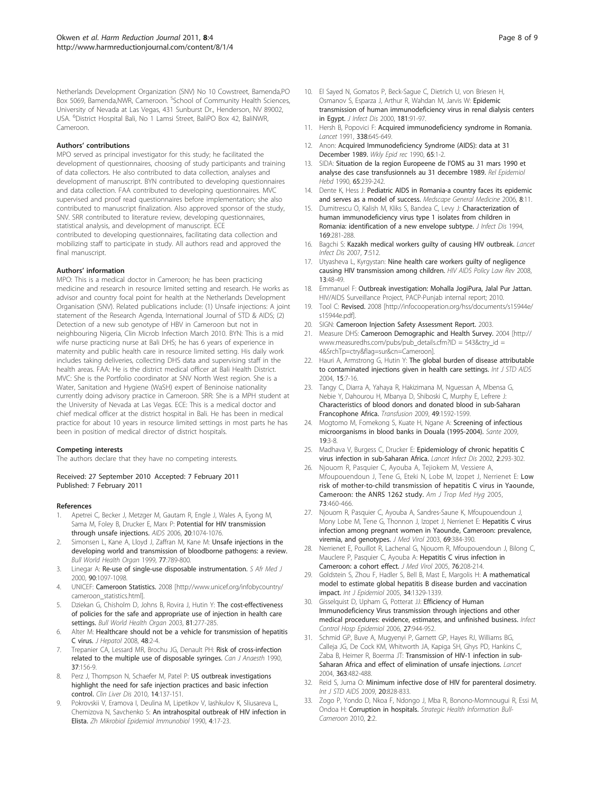<span id="page-7-0"></span>Netherlands Development Organization (SNV) No 10 Cowstreet, Bamenda,PO Box 5069, Bamenda,NWR, Cameroon. <sup>5</sup>School of Community Health Sciences, University of Nevada at Las Vegas, 431 Sunburst Dr., Henderson, NV 89002, USA. <sup>6</sup>District Hospital Bali, No 1 Lamsi Street, BaliPO Box 42, BaliNWR, Cameroon.

#### Authors' contributions

MPO served as principal investigator for this study; he facilitated the development of questionnaires, choosing of study participants and training of data collectors. He also contributed to data collection, analyses and development of manuscript. BYN contributed to developing questionnaires and data collection. FAA contributed to developing questionnaires. MVC supervised and proof read questionnaires before implementation; she also contributed to manuscript finalization. Also approved sponsor of the study, SNV. SRR contributed to literature review, developing questionnaires, statistical analysis, and development of manuscript. ECE contributed to developing questionnaires, facilitating data collection and mobilizing staff to participate in study. All authors read and approved the final manuscript.

#### Authors' information

MPO: This is a medical doctor in Cameroon; he has been practicing medicine and research in resource limited setting and research. He works as advisor and country focal point for health at the Netherlands Development Organisation (SNV). Related publications include: (1) Unsafe injections: A joint statement of the Research Agenda, International Journal of STD & AIDS; (2) Detection of a new sub genotype of HBV in Cameroon but not in neighbouring Nigeria, Clin Microb Infection March 2010. BYN: This is a mid wife nurse practicing nurse at Bali DHS; he has 6 years of experience in maternity and public health care in resource limited setting. His daily work includes taking deliveries, collecting DHS data and supervising staff in the health areas. FAA: He is the district medical officer at Bali Health District. MVC: She is the Portfolio coordinator at SNV North West region. She is a Water, Sanitation and Hygiene (WaSH) expert of Beninoise nationality currently doing advisory practice in Cameroon. SRR: She is a MPH student at the University of Nevada at Las Vegas. ECE: This is a medical doctor and chief medical officer at the district hospital in Bali. He has been in medical practice for about 10 years in resource limited settings in most parts he has been in position of medical director of district hospitals.

#### Competing interests

The authors declare that they have no competing interests.

#### Received: 27 September 2010 Accepted: 7 February 2011 Published: 7 February 2011

#### References

- Apetrei C, Becker J, Metzger M, Gautam R, Engle J, Wales A, Eyong M, Sama M, Foley B, Drucker E, Marx P: [Potential for HIV transmission](http://www.ncbi.nlm.nih.gov/pubmed/16603865?dopt=Abstract) [through unsafe injections.](http://www.ncbi.nlm.nih.gov/pubmed/16603865?dopt=Abstract) AIDS 2006, 20:1074-1076.
- 2. Simonsen L, Kane A, Lloyd J, Zaffran M, Kane M: [Unsafe injections in the](http://www.ncbi.nlm.nih.gov/pubmed/10593026?dopt=Abstract) [developing world and transmission of bloodborne pathogens: a review.](http://www.ncbi.nlm.nih.gov/pubmed/10593026?dopt=Abstract) Bull World Health Organ 1999, 77:789-800.
- 3. Linegar A: [Re-use of single-use disposable instrumentation.](http://www.ncbi.nlm.nih.gov/pubmed/11196024?dopt=Abstract) S Afr Med J 2000, 90:1097-1098.
- 4. UNICEF: Cameroon Statistics. 2008 [[http://www.unicef.org/infobycountry/](http://www.unicef.org/infobycountry/cameroon_statistics.html) [cameroon\\_statistics.html\]](http://www.unicef.org/infobycountry/cameroon_statistics.html).
- 5. Dziekan G, Chisholm D, Johns B, Rovira J, Hutin Y: [The cost-effectiveness](http://www.ncbi.nlm.nih.gov/pubmed/12764494?dopt=Abstract) [of policies for the safe and appropriate use of injection in health care](http://www.ncbi.nlm.nih.gov/pubmed/12764494?dopt=Abstract) [settings.](http://www.ncbi.nlm.nih.gov/pubmed/12764494?dopt=Abstract) Bull World Health Organ 2003, 81:277-285.
- 6. Alter M: [Healthcare should not be a vehicle for transmission of hepatitis](http://www.ncbi.nlm.nih.gov/pubmed/18023493?dopt=Abstract) [C virus.](http://www.ncbi.nlm.nih.gov/pubmed/18023493?dopt=Abstract) J Hepatol 2008, 48:2-4.
- 7. Trepanier CA, Lessard MR, Brochu JG, Denault PH: [Risk of cross-infection](http://www.ncbi.nlm.nih.gov/pubmed/2311144?dopt=Abstract) [related to the multiple use of disposable syringes.](http://www.ncbi.nlm.nih.gov/pubmed/2311144?dopt=Abstract) Can J Anaesth 1990, 37:156-9.
- 8. Perz J, Thompson N, Schaefer M, Patel P: [US outbreak investigations](http://www.ncbi.nlm.nih.gov/pubmed/20123446?dopt=Abstract) [highlight the need for safe injection practices and basic infection](http://www.ncbi.nlm.nih.gov/pubmed/20123446?dopt=Abstract) [control.](http://www.ncbi.nlm.nih.gov/pubmed/20123446?dopt=Abstract) Clin Liver Dis 2010, 14:137-151.
- Pokrovskii V, Eramova I, Deulina M, Lipetikov V, Iashkulov K, Sliusareva L, Chemizova N, Savchenko S: [An intrahospital outbreak of HIV infection in](http://www.ncbi.nlm.nih.gov/pubmed/2143611?dopt=Abstract) [Elista.](http://www.ncbi.nlm.nih.gov/pubmed/2143611?dopt=Abstract) Zh Mikrobiol Epidemiol Immunobiol 1990, 4:17-23.
- 10. El Sayed N, Gomatos P, Beck-Sague C, Dietrich U, von Briesen H, Osmanov S, Esparza J, Arthur R, Wahdan M, Jarvis W: [Epidemic](http://www.ncbi.nlm.nih.gov/pubmed/10608755?dopt=Abstract) [transmission of human immunodeficiency virus in renal dialysis centers](http://www.ncbi.nlm.nih.gov/pubmed/10608755?dopt=Abstract) [in Egypt.](http://www.ncbi.nlm.nih.gov/pubmed/10608755?dopt=Abstract) J Infect Dis 2000, 181:91-97.
- 11. Hersh B, Popovici F: [Acquired immunodeficiency syndrome in Romania.](http://www.ncbi.nlm.nih.gov/pubmed/1679471?dopt=Abstract) Lancet 1991, 338:645-649.
- 12. Anon: Acquired Immunodeficiency Syndrome (AIDS): data at 31 December 1989. Wkly Epid rec 1990, 65:1-2.
- 13. SIDA: Situation de la region Europeene de l'OMS au 31 mars 1990 et analyse des case transfusionnels au 31 decembre 1989. Rel Epidemiol Hebd 1990, 65:239-242.
- 14. Dente K, Hess J: [Pediatric AIDS in Romania-a country faces its epidemic](http://www.ncbi.nlm.nih.gov/pubmed/16926750?dopt=Abstract) [and serves as a model of success.](http://www.ncbi.nlm.nih.gov/pubmed/16926750?dopt=Abstract) Medscape General Medicine 2006, 8:11.
- 15. Dumitrescu O, Kalish M, Kliks S, Bandea C, Levy J: [Characterization of](http://www.ncbi.nlm.nih.gov/pubmed/8106761?dopt=Abstract) [human immunodeficiency virus type 1 isolates from children in](http://www.ncbi.nlm.nih.gov/pubmed/8106761?dopt=Abstract) Romania: [identification of a new envelope subtype.](http://www.ncbi.nlm.nih.gov/pubmed/8106761?dopt=Abstract) J Infect Dis 1994, 169:281-288.
- 16. Bagchi S: [Kazakh medical workers guilty of causing HIV outbreak.](http://www.ncbi.nlm.nih.gov/pubmed/17695650?dopt=Abstract) Lancet Infect Dis 2007, 7:512.
- 17. Utyasheva L, Kyrgystan: Nine health care workers guilty of negligence causing HIV transmission among children. HIV AIDS Policy Law Rev 2008, 13:48-49.
- 18. Emmanuel F: Outbreak investigation: Mohalla JogiPura, Jalal Pur Jattan. HIV/AIDS Surveillance Project, PACP-Punjab internal report; 2010.
- 19. Tool C: Revised. 2008 [\[http://infocooperation.org/hss/documents/s15944e/](http://infocooperation.org/hss/documents/s15944e/s15944e.pdf) [s15944e.pdf](http://infocooperation.org/hss/documents/s15944e/s15944e.pdf)].
- 20. SIGN: Cameroon Injection Safety Assessment Report. 2003.
- 21. Measure DHS: Cameroon Demographic and Health Survey. 2004 [\[http://](http://www.measuredhs.com/pubs/pub_details.cfm?ID = 543&ctry_id = 4&SrchTp=ctry&flag=sur&cn=Cameroon) [www.measuredhs.com/pubs/pub\\_details.cfm?ID = 543&ctry\\_id =](http://www.measuredhs.com/pubs/pub_details.cfm?ID = 543&ctry_id = 4&SrchTp=ctry&flag=sur&cn=Cameroon) [4&SrchTp=ctry&flag=sur&cn=Cameroon](http://www.measuredhs.com/pubs/pub_details.cfm?ID = 543&ctry_id = 4&SrchTp=ctry&flag=sur&cn=Cameroon)].
- 22. Hauri A, Armstrong G, Hutin Y: [The global burden of disease attributable](http://www.ncbi.nlm.nih.gov/pubmed/14769164?dopt=Abstract) [to contaminated injections given in health care settings.](http://www.ncbi.nlm.nih.gov/pubmed/14769164?dopt=Abstract) Int J STD AIDS 2004, 15:7-16.
- 23. Tangy C, Diarra A, Yahaya R, Hakizimana M, Nguessan A, Mbensa G, Nebie Y, Dahourou H, Mbanya D, Shiboski C, Murphy E, Lefrere J: Characteristics of blood donors and donated blood in sub-Saharan Francophone Africa. Transfusion 2009, 49:1592-1599.
- 24. Mogtomo M, Fomekong S, Kuate H, Ngane A: [Screening of infectious](http://www.ncbi.nlm.nih.gov/pubmed/19801344?dopt=Abstract) [microorganisms in blood banks in Douala \(1995-2004\).](http://www.ncbi.nlm.nih.gov/pubmed/19801344?dopt=Abstract) Sante 2009, 19:3-8.
- 25. Madhava V, Burgess C, Drucker E: [Epidemiology of chronic hepatitis C](http://www.ncbi.nlm.nih.gov/pubmed/12062995?dopt=Abstract) [virus infection in sub-Saharan Africa.](http://www.ncbi.nlm.nih.gov/pubmed/12062995?dopt=Abstract) Lancet Infect Dis 2002, 2:293-302.
- 26. Njouom R, Pasquier C, Ayouba A, Tejiokem M, Vessiere A, Mfoupouendoun J, Tene G, Eteki N, Lobe M, Izopet J, Nerrienet E: [Low](http://www.ncbi.nlm.nih.gov/pubmed/16103623?dopt=Abstract) [risk of mother-to-child transmission of hepatitis C virus in Yaounde,](http://www.ncbi.nlm.nih.gov/pubmed/16103623?dopt=Abstract) [Cameroon: the ANRS 1262 study.](http://www.ncbi.nlm.nih.gov/pubmed/16103623?dopt=Abstract) Am J Trop Med Hyg 2005, 73:460-466.
- 27. Njouom R, Pasquier C, Ayouba A, Sandres-Saune K, Mfoupouendoun J, Mony Lobe M, Tene G, Thonnon J, Izopet J, Nerrienet E: [Hepatitis C virus](http://www.ncbi.nlm.nih.gov/pubmed/12526049?dopt=Abstract) [infection among pregnant women in Yaounde, Cameroon: prevalence,](http://www.ncbi.nlm.nih.gov/pubmed/12526049?dopt=Abstract) [viremia, and genotypes.](http://www.ncbi.nlm.nih.gov/pubmed/12526049?dopt=Abstract) J Med Virol 2003, 69:384-390.
- 28. Nerrienet E, Pouillot R, Lachenal G, Njouom R, Mfoupouendoun J, Bilong C, Mauclere P, Pasquier C, Ayouba A: [Hepatitis C virus infection in](http://www.ncbi.nlm.nih.gov/pubmed/15834878?dopt=Abstract) [Cameroon: a cohort effect.](http://www.ncbi.nlm.nih.gov/pubmed/15834878?dopt=Abstract) J Med Virol 2005, 76:208-214.
- 29. Goldstein S, Zhou F, Hadler S, Bell B, Mast E, Margolis H: [A mathematical](http://www.ncbi.nlm.nih.gov/pubmed/16249217?dopt=Abstract) [model to estimate global hepatitis B disease burden and vaccination](http://www.ncbi.nlm.nih.gov/pubmed/16249217?dopt=Abstract) [impact.](http://www.ncbi.nlm.nih.gov/pubmed/16249217?dopt=Abstract) Int J Epidemiol 2005, 34:1329-1339.
- 30. Gisselquist D, Upham G, Potterat JJ: [Efficiency of Human](http://www.ncbi.nlm.nih.gov/pubmed/16941321?dopt=Abstract) [Immunodeficiency Virus transmission through injections and other](http://www.ncbi.nlm.nih.gov/pubmed/16941321?dopt=Abstract) [medical procedures: evidence, estimates, and unfinished business.](http://www.ncbi.nlm.nih.gov/pubmed/16941321?dopt=Abstract) Infect Control Hosp Epidemiol 2006, 27:944-952.
- 31. Schmid GP, Buve A, Mugyenyi P, Garnett GP, Hayes RJ, Williams BG, Calleja JG, De Cock KM, Whitworth JA, Kapiga SH, Ghys PD, Hankins C, Zaba B, Heimer R, Boerma JT: [Transmission of HIV-1 infection in sub-](http://www.ncbi.nlm.nih.gov/pubmed/14962531?dopt=Abstract)[Saharan Africa and effect of elimination of unsafe injections.](http://www.ncbi.nlm.nih.gov/pubmed/14962531?dopt=Abstract) Lancet 2004, 363:482-488.
- 32. Reid S, Juma O: [Minimum infective dose of HIV for parenteral dosimetry.](http://www.ncbi.nlm.nih.gov/pubmed/19948896?dopt=Abstract) Int J STD AIDS 2009, 20:828-833
- 33. Zogo P, Yondo D, Nkoa F, Ndongo J, Mba R, Bonono-Momnougui R, Essi M, Ondoa H: Corruption in hospitals. Strategic Health Information Bull-Cameroon 2010, 2:2.